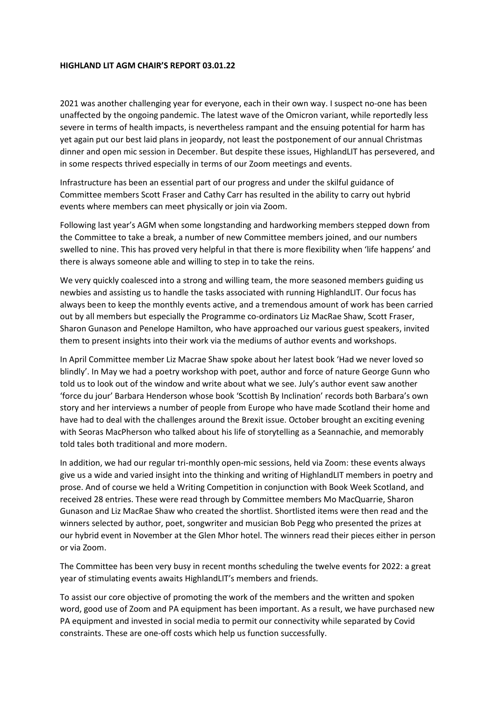## **HIGHLAND LIT AGM CHAIR'S REPORT 03.01.22**

2021 was another challenging year for everyone, each in their own way. I suspect no-one has been unaffected by the ongoing pandemic. The latest wave of the Omicron variant, while reportedly less severe in terms of health impacts, is nevertheless rampant and the ensuing potential for harm has yet again put our best laid plans in jeopardy, not least the postponement of our annual Christmas dinner and open mic session in December. But despite these issues, HighlandLIT has persevered, and in some respects thrived especially in terms of our Zoom meetings and events.

Infrastructure has been an essential part of our progress and under the skilful guidance of Committee members Scott Fraser and Cathy Carr has resulted in the ability to carry out hybrid events where members can meet physically or join via Zoom.

Following last year's AGM when some longstanding and hardworking members stepped down from the Committee to take a break, a number of new Committee members joined, and our numbers swelled to nine. This has proved very helpful in that there is more flexibility when 'life happens' and there is always someone able and willing to step in to take the reins.

We very quickly coalesced into a strong and willing team, the more seasoned members guiding us newbies and assisting us to handle the tasks associated with running HighlandLIT. Our focus has always been to keep the monthly events active, and a tremendous amount of work has been carried out by all members but especially the Programme co-ordinators Liz MacRae Shaw, Scott Fraser, Sharon Gunason and Penelope Hamilton, who have approached our various guest speakers, invited them to present insights into their work via the mediums of author events and workshops.

In April Committee member Liz Macrae Shaw spoke about her latest book 'Had we never loved so blindly'. In May we had a poetry workshop with poet, author and force of nature George Gunn who told us to look out of the window and write about what we see. July's author event saw another 'force du jour' Barbara Henderson whose book 'Scottish By Inclination' records both Barbara's own story and her interviews a number of people from Europe who have made Scotland their home and have had to deal with the challenges around the Brexit issue. October brought an exciting evening with Seoras MacPherson who talked about his life of storytelling as a Seannachie, and memorably told tales both traditional and more modern.

In addition, we had our regular tri-monthly open-mic sessions, held via Zoom: these events always give us a wide and varied insight into the thinking and writing of HighlandLIT members in poetry and prose. And of course we held a Writing Competition in conjunction with Book Week Scotland, and received 28 entries. These were read through by Committee members Mo MacQuarrie, Sharon Gunason and Liz MacRae Shaw who created the shortlist. Shortlisted items were then read and the winners selected by author, poet, songwriter and musician Bob Pegg who presented the prizes at our hybrid event in November at the Glen Mhor hotel. The winners read their pieces either in person or via Zoom.

The Committee has been very busy in recent months scheduling the twelve events for 2022: a great year of stimulating events awaits HighlandLIT's members and friends.

To assist our core objective of promoting the work of the members and the written and spoken word, good use of Zoom and PA equipment has been important. As a result, we have purchased new PA equipment and invested in social media to permit our connectivity while separated by Covid constraints. These are one-off costs which help us function successfully.